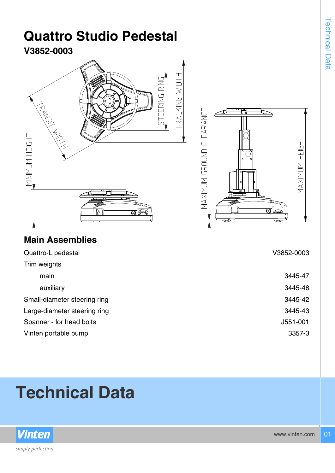## **Quattro Studio Pedestal V3852-0003** RACKING WIDTH EERING RING MAXIMUM GROUND CLEARANCE MINIMUM HEIGHT MAXIMUM HEIGHT nn an **Main Assemblies** Quattro-L pedestal V3852-0003 Trim weights main 3445-47 auxiliary 3445-48 Small-diameter steering ring 3445-42 Large-diameter steering ring 3445-43 Spanner - for head bolts J551-001 Vinten portable pump 3357-3

## **Technical Data**



www.vinten.com 01